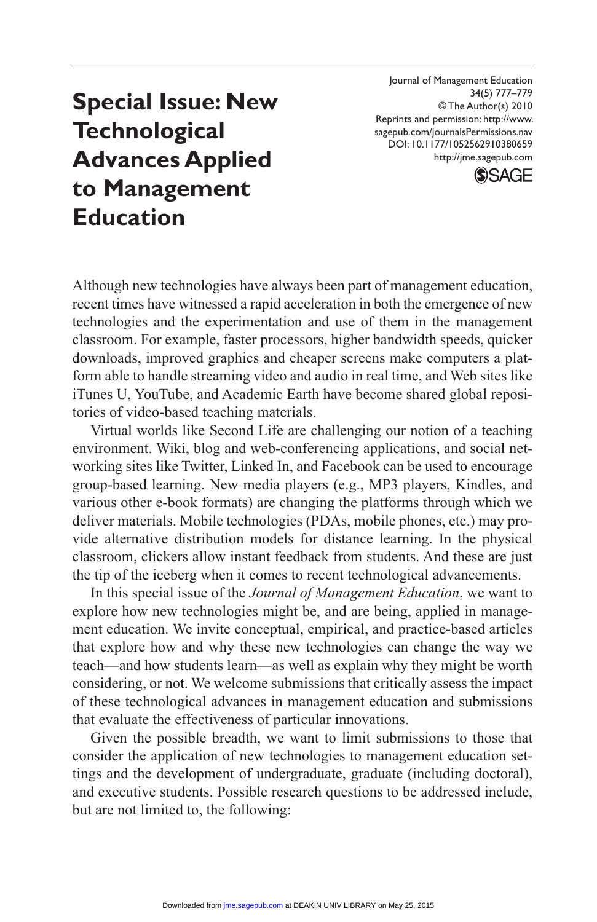Journal of Management Education 34(5) 777–779 © The Author(s) 2010 Reprints and permission: http://www. sagepub.com/journalsPermissions.nav DOI: 10.1177/1052562910380659 http://jme.sagepub.com



## **Special Issue: New Technological Advances Applied to Management Education**

Although new technologies have always been part of management education, recent times have witnessed a rapid acceleration in both the emergence of new technologies and the experimentation and use of them in the management classroom. For example, faster processors, higher bandwidth speeds, quicker downloads, improved graphics and cheaper screens make computers a platform able to handle streaming video and audio in real time, and Web sites like iTunes U, YouTube, and Academic Earth have become shared global repositories of video-based teaching materials.

Virtual worlds like Second Life are challenging our notion of a teaching environment. Wiki, blog and web-conferencing applications, and social networking sites like Twitter, Linked In, and Facebook can be used to encourage group-based learning. New media players (e.g., MP3 players, Kindles, and various other e-book formats) are changing the platforms through which we deliver materials. Mobile technologies (PDAs, mobile phones, etc.) may provide alternative distribution models for distance learning. In the physical classroom, clickers allow instant feedback from students. And these are just the tip of the iceberg when it comes to recent technological advancements.

In this special issue of the *Journal of Management Education*, we want to explore how new technologies might be, and are being, applied in management education. We invite conceptual, empirical, and practice-based articles that explore how and why these new technologies can change the way we teach—and how students learn—as well as explain why they might be worth considering, or not. We welcome submissions that critically assess the impact of these technological advances in management education and submissions that evaluate the effectiveness of particular innovations.

Given the possible breadth, we want to limit submissions to those that consider the application of new technologies to management education settings and the development of undergraduate, graduate (including doctoral), and executive students. Possible research questions to be addressed include, but are not limited to, the following: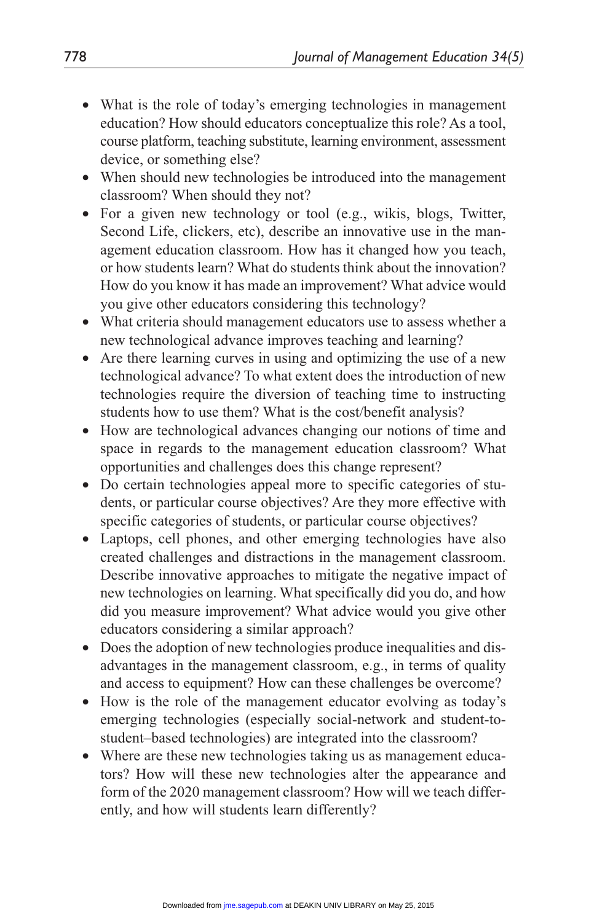- What is the role of today's emerging technologies in management education? How should educators conceptualize this role? As a tool, course platform, teaching substitute, learning environment, assessment device, or something else?
- When should new technologies be introduced into the management classroom? When should they not?
- For a given new technology or tool (e.g., wikis, blogs, Twitter, Second Life, clickers, etc), describe an innovative use in the management education classroom. How has it changed how you teach, or how students learn? What do students think about the innovation? How do you know it has made an improvement? What advice would you give other educators considering this technology?
- What criteria should management educators use to assess whether a new technological advance improves teaching and learning?
- Are there learning curves in using and optimizing the use of a new technological advance? To what extent does the introduction of new technologies require the diversion of teaching time to instructing students how to use them? What is the cost/benefit analysis?
- How are technological advances changing our notions of time and space in regards to the management education classroom? What opportunities and challenges does this change represent?
- Do certain technologies appeal more to specific categories of students, or particular course objectives? Are they more effective with specific categories of students, or particular course objectives?
- Laptops, cell phones, and other emerging technologies have also created challenges and distractions in the management classroom. Describe innovative approaches to mitigate the negative impact of new technologies on learning. What specifically did you do, and how did you measure improvement? What advice would you give other educators considering a similar approach?
- Does the adoption of new technologies produce inequalities and disadvantages in the management classroom, e.g., in terms of quality and access to equipment? How can these challenges be overcome?
- How is the role of the management educator evolving as today's emerging technologies (especially social-network and student-tostudent–based technologies) are integrated into the classroom?
- Where are these new technologies taking us as management educators? How will these new technologies alter the appearance and form of the 2020 management classroom? How will we teach differently, and how will students learn differently?